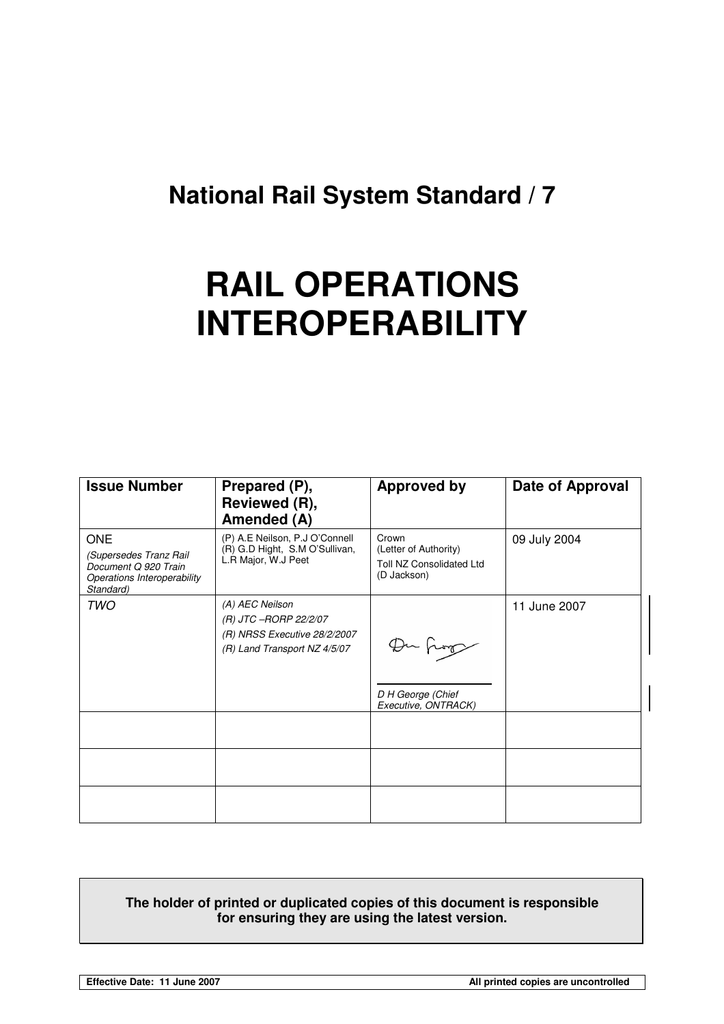## **National Rail System Standard / 7**

# **RAIL OPERATIONS INTEROPERABILITY**

| <b>Issue Number</b>                                                                                      | Prepared (P),<br>Reviewed (R),<br>Amended (A)                                                            | <b>Approved by</b>                                                               | Date of Approval |
|----------------------------------------------------------------------------------------------------------|----------------------------------------------------------------------------------------------------------|----------------------------------------------------------------------------------|------------------|
| <b>ONE</b><br>(Supersedes Tranz Rail<br>Document Q 920 Train<br>Operations Interoperability<br>Standard) | (P) A.E Neilson, P.J O'Connell<br>(R) G.D Hight, S.M O'Sullivan,<br>L.R Major, W.J Peet                  | Crown<br>(Letter of Authority)<br><b>Toll NZ Consolidated Ltd</b><br>(D Jackson) | 09 July 2004     |
| <b>TWO</b>                                                                                               | (A) AEC Neilson<br>(R) JTC -RORP 22/2/07<br>(R) NRSS Executive 28/2/2007<br>(R) Land Transport NZ 4/5/07 | Du fing<br>D H George (Chief<br>Executive, ONTRACK)                              | 11 June 2007     |
|                                                                                                          |                                                                                                          |                                                                                  |                  |
|                                                                                                          |                                                                                                          |                                                                                  |                  |
|                                                                                                          |                                                                                                          |                                                                                  |                  |

#### **The holder of printed or duplicated copies of this document is responsible for ensuring they are using the latest version.**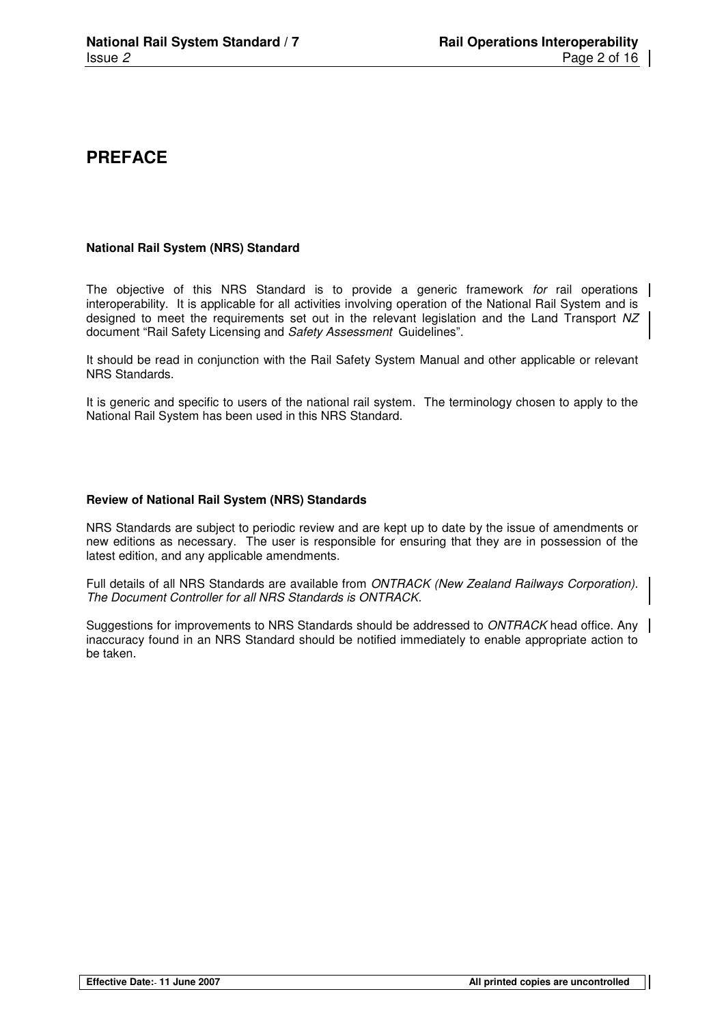## **PREFACE**

#### **National Rail System (NRS) Standard**

The objective of this NRS Standard is to provide a generic framework for rail operations interoperability. It is applicable for all activities involving operation of the National Rail System and is designed to meet the requirements set out in the relevant legislation and the Land Transport NZ document "Rail Safety Licensing and Safety Assessment Guidelines".

It should be read in conjunction with the Rail Safety System Manual and other applicable or relevant NRS Standards.

It is generic and specific to users of the national rail system. The terminology chosen to apply to the National Rail System has been used in this NRS Standard.

#### **Review of National Rail System (NRS) Standards**

NRS Standards are subject to periodic review and are kept up to date by the issue of amendments or new editions as necessary. The user is responsible for ensuring that they are in possession of the latest edition, and any applicable amendments.

Full details of all NRS Standards are available from ONTRACK (New Zealand Railways Corporation). The Document Controller for all NRS Standards is ONTRACK.

Suggestions for improvements to NRS Standards should be addressed to ONTRACK head office. Any inaccuracy found in an NRS Standard should be notified immediately to enable appropriate action to be taken.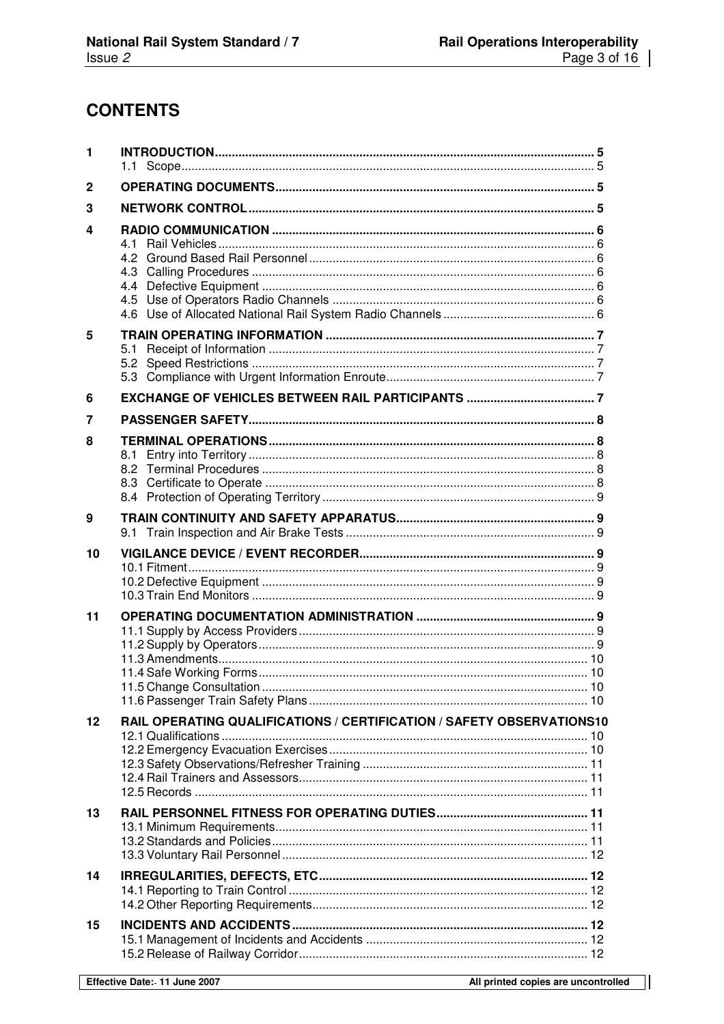$\overline{\phantom{a}}$ 

## **CONTENTS**

| 1       |                                                                       |  |  |
|---------|-----------------------------------------------------------------------|--|--|
| 2       |                                                                       |  |  |
| 3       |                                                                       |  |  |
| 4       |                                                                       |  |  |
| 5       | 5.1                                                                   |  |  |
| 6       |                                                                       |  |  |
| 7       |                                                                       |  |  |
| 8       |                                                                       |  |  |
| 9       |                                                                       |  |  |
| 10      |                                                                       |  |  |
| 11      |                                                                       |  |  |
| $12 \,$ | RAIL OPERATING QUALIFICATIONS / CERTIFICATION / SAFETY OBSERVATIONS10 |  |  |
| 13      |                                                                       |  |  |
| 14      |                                                                       |  |  |
| 15      |                                                                       |  |  |

П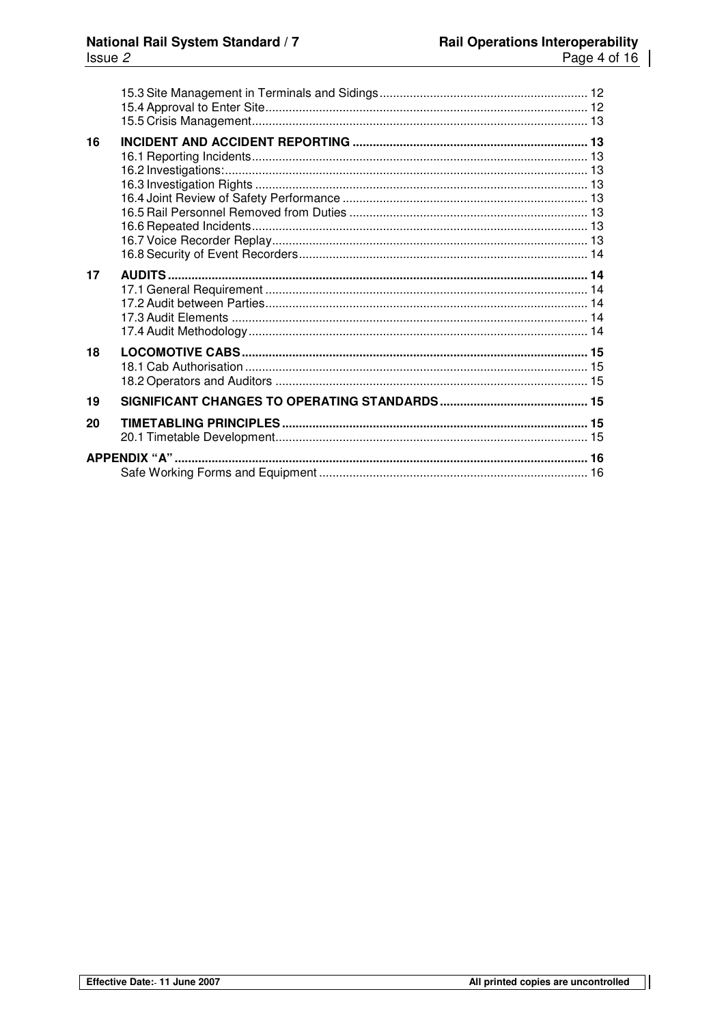$\overline{\phantom{a}}$ 

| 16 |                      |  |
|----|----------------------|--|
| 17 |                      |  |
| 18 |                      |  |
| 19 |                      |  |
| 20 |                      |  |
|    | <b>APPENDIX "A".</b> |  |

П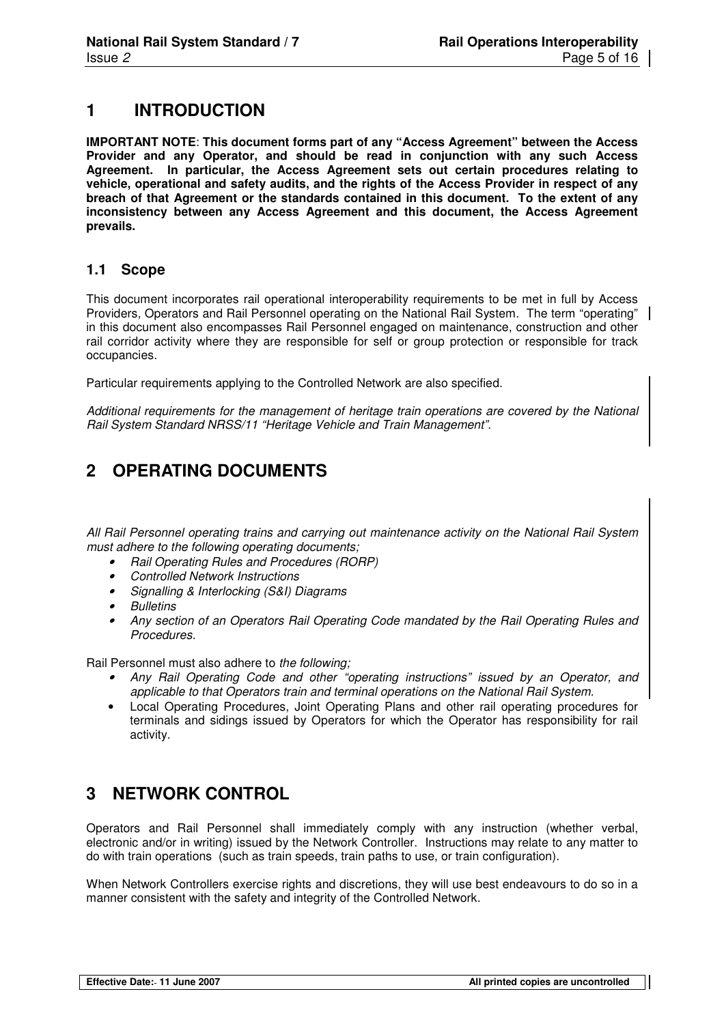## **1 INTRODUCTION**

**IMPORTANT NOTE**: **This document forms part of any "Access Agreement" between the Access Provider and any Operator, and should be read in conjunction with any such Access Agreement. In particular, the Access Agreement sets out certain procedures relating to vehicle, operational and safety audits, and the rights of the Access Provider in respect of any breach of that Agreement or the standards contained in this document. To the extent of any inconsistency between any Access Agreement and this document, the Access Agreement prevails.** 

#### **1.1 Scope**

This document incorporates rail operational interoperability requirements to be met in full by Access Providers, Operators and Rail Personnel operating on the National Rail System. The term "operating" in this document also encompasses Rail Personnel engaged on maintenance, construction and other rail corridor activity where they are responsible for self or group protection or responsible for track occupancies.

Particular requirements applying to the Controlled Network are also specified.

Additional requirements for the management of heritage train operations are covered by the National Rail System Standard NRSS/11 "Heritage Vehicle and Train Management".

## **2 OPERATING DOCUMENTS**

All Rail Personnel operating trains and carrying out maintenance activity on the National Rail System must adhere to the following operating documents;

- Rail Operating Rules and Procedures (RORP)
- Controlled Network Instructions
- Signalling & Interlocking (S&I) Diagrams
- **Bulletins**
- Any section of an Operators Rail Operating Code mandated by the Rail Operating Rules and Procedures.

Rail Personnel must also adhere to the following;

- Any Rail Operating Code and other "operating instructions" issued by an Operator, and applicable to that Operators train and terminal operations on the National Rail System.
- Local Operating Procedures, Joint Operating Plans and other rail operating procedures for terminals and sidings issued by Operators for which the Operator has responsibility for rail activity.

## **3 NETWORK CONTROL**

Operators and Rail Personnel shall immediately comply with any instruction (whether verbal, electronic and/or in writing) issued by the Network Controller. Instructions may relate to any matter to do with train operations (such as train speeds, train paths to use, or train configuration).

When Network Controllers exercise rights and discretions, they will use best endeavours to do so in a manner consistent with the safety and integrity of the Controlled Network.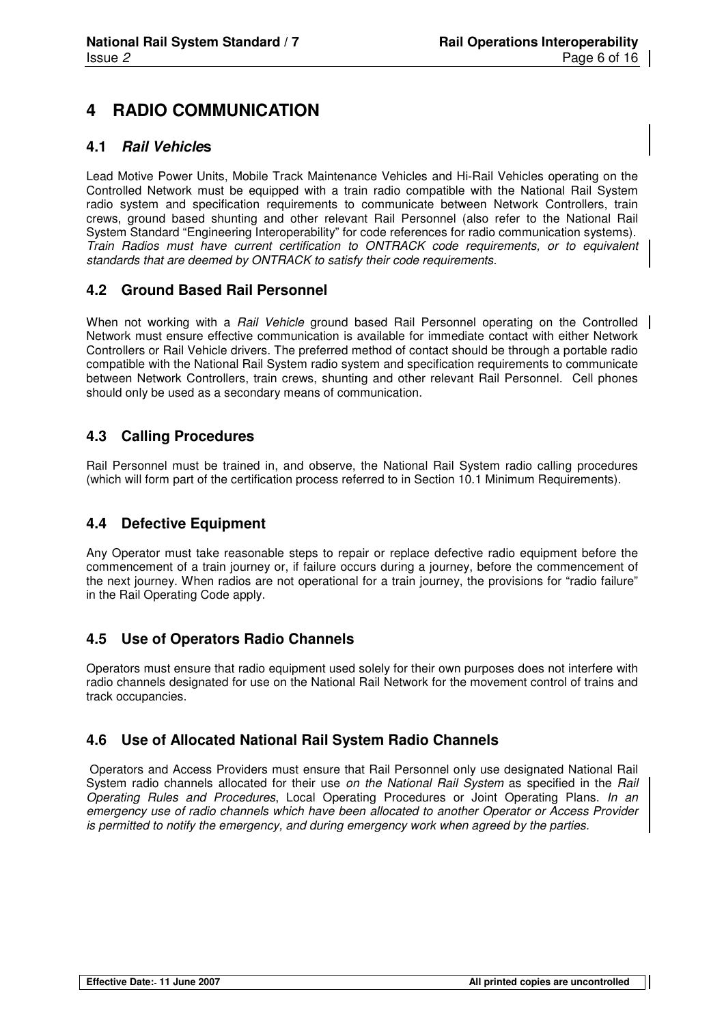## **4 RADIO COMMUNICATION**

#### **4.1 Rail Vehicles**

Lead Motive Power Units, Mobile Track Maintenance Vehicles and Hi-Rail Vehicles operating on the Controlled Network must be equipped with a train radio compatible with the National Rail System radio system and specification requirements to communicate between Network Controllers, train crews, ground based shunting and other relevant Rail Personnel (also refer to the National Rail System Standard "Engineering Interoperability" for code references for radio communication systems). Train Radios must have current certification to ONTRACK code requirements, or to equivalent standards that are deemed by ONTRACK to satisfy their code requirements.

#### **4.2 Ground Based Rail Personnel**

When not working with a Rail Vehicle ground based Rail Personnel operating on the Controlled Network must ensure effective communication is available for immediate contact with either Network Controllers or Rail Vehicle drivers. The preferred method of contact should be through a portable radio compatible with the National Rail System radio system and specification requirements to communicate between Network Controllers, train crews, shunting and other relevant Rail Personnel. Cell phones should only be used as a secondary means of communication.

#### **4.3 Calling Procedures**

Rail Personnel must be trained in, and observe, the National Rail System radio calling procedures (which will form part of the certification process referred to in Section 10.1 Minimum Requirements).

#### **4.4 Defective Equipment**

Any Operator must take reasonable steps to repair or replace defective radio equipment before the commencement of a train journey or, if failure occurs during a journey, before the commencement of the next journey. When radios are not operational for a train journey, the provisions for "radio failure" in the Rail Operating Code apply.

#### **4.5 Use of Operators Radio Channels**

Operators must ensure that radio equipment used solely for their own purposes does not interfere with radio channels designated for use on the National Rail Network for the movement control of trains and track occupancies.

#### **4.6 Use of Allocated National Rail System Radio Channels**

 Operators and Access Providers must ensure that Rail Personnel only use designated National Rail System radio channels allocated for their use on the National Rail System as specified in the Rail Operating Rules and Procedures, Local Operating Procedures or Joint Operating Plans. In an emergency use of radio channels which have been allocated to another Operator or Access Provider is permitted to notify the emergency, and during emergency work when agreed by the parties.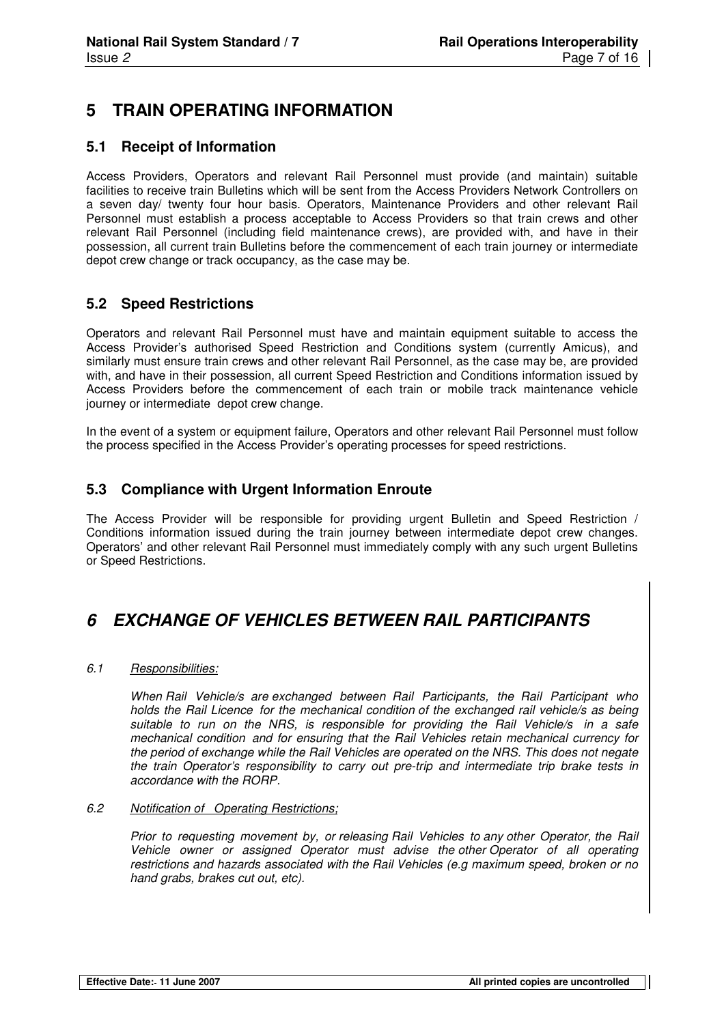## **5 TRAIN OPERATING INFORMATION**

#### **5.1 Receipt of Information**

Access Providers, Operators and relevant Rail Personnel must provide (and maintain) suitable facilities to receive train Bulletins which will be sent from the Access Providers Network Controllers on a seven day/ twenty four hour basis. Operators, Maintenance Providers and other relevant Rail Personnel must establish a process acceptable to Access Providers so that train crews and other relevant Rail Personnel (including field maintenance crews), are provided with, and have in their possession, all current train Bulletins before the commencement of each train journey or intermediate depot crew change or track occupancy, as the case may be.

#### **5.2 Speed Restrictions**

Operators and relevant Rail Personnel must have and maintain equipment suitable to access the Access Provider's authorised Speed Restriction and Conditions system (currently Amicus), and similarly must ensure train crews and other relevant Rail Personnel, as the case may be, are provided with, and have in their possession, all current Speed Restriction and Conditions information issued by Access Providers before the commencement of each train or mobile track maintenance vehicle journey or intermediate depot crew change.

In the event of a system or equipment failure, Operators and other relevant Rail Personnel must follow the process specified in the Access Provider's operating processes for speed restrictions.

#### **5.3 Compliance with Urgent Information Enroute**

The Access Provider will be responsible for providing urgent Bulletin and Speed Restriction / Conditions information issued during the train journey between intermediate depot crew changes. Operators' and other relevant Rail Personnel must immediately comply with any such urgent Bulletins or Speed Restrictions.

## **6 EXCHANGE OF VEHICLES BETWEEN RAIL PARTICIPANTS**

#### 6.1 Responsibilities:

When Rail Vehicle/s are exchanged between Rail Participants, the Rail Participant who holds the Rail Licence for the mechanical condition of the exchanged rail vehicle/s as being suitable to run on the NRS, is responsible for providing the Rail Vehicle/s in a safe mechanical condition and for ensuring that the Rail Vehicles retain mechanical currency for the period of exchange while the Rail Vehicles are operated on the NRS. This does not negate the train Operator's responsibility to carry out pre-trip and intermediate trip brake tests in accordance with the RORP.

#### 6.2 Notification of Operating Restrictions;

Prior to requesting movement by, or releasing Rail Vehicles to any other Operator, the Rail Vehicle owner or assigned Operator must advise the other Operator of all operating restrictions and hazards associated with the Rail Vehicles (e.g maximum speed, broken or no hand grabs, brakes cut out, etc).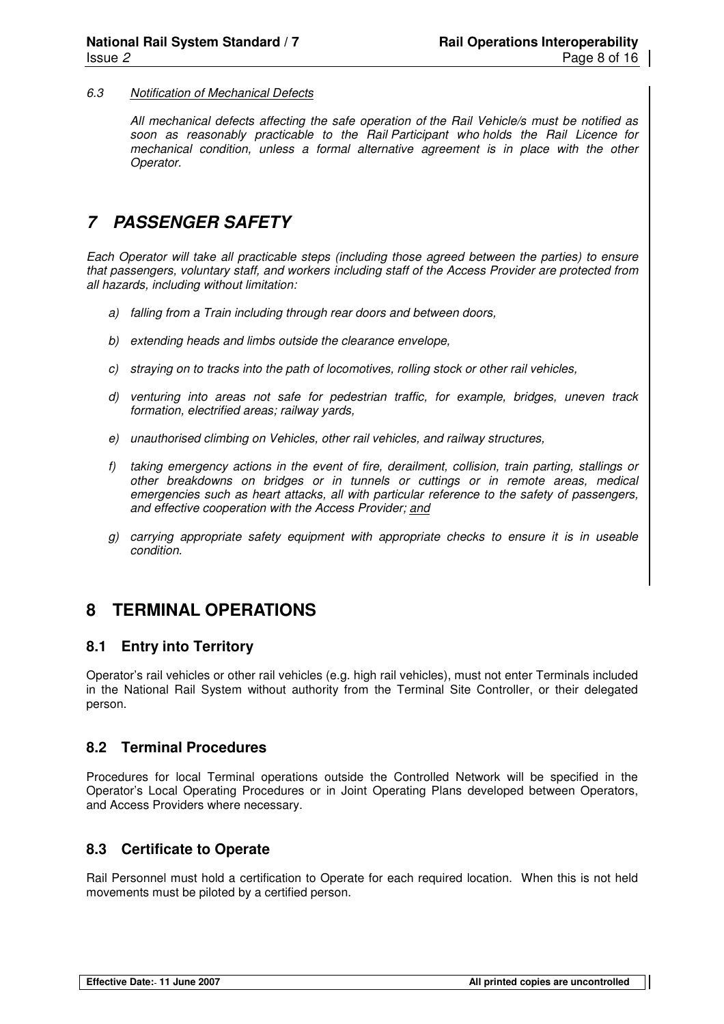#### 6.3 Notification of Mechanical Defects

All mechanical defects affecting the safe operation of the Rail Vehicle/s must be notified as soon as reasonably practicable to the Rail Participant who holds the Rail Licence for mechanical condition, unless a formal alternative agreement is in place with the other Operator.

## **7 PASSENGER SAFETY**

Each Operator will take all practicable steps (including those agreed between the parties) to ensure that passengers, voluntary staff, and workers including staff of the Access Provider are protected from all hazards, including without limitation:

- a) falling from a Train including through rear doors and between doors,
- b) extending heads and limbs outside the clearance envelope,
- c) straying on to tracks into the path of locomotives, rolling stock or other rail vehicles,
- d) venturing into areas not safe for pedestrian traffic, for example, bridges, uneven track formation, electrified areas; railway yards,
- e) unauthorised climbing on Vehicles, other rail vehicles, and railway structures,
- f) taking emergency actions in the event of fire, derailment, collision, train parting, stallings or other breakdowns on bridges or in tunnels or cuttings or in remote areas, medical emergencies such as heart attacks, all with particular reference to the safety of passengers, and effective cooperation with the Access Provider; and
- g) carrying appropriate safety equipment with appropriate checks to ensure it is in useable condition.

## **8 TERMINAL OPERATIONS**

#### **8.1 Entry into Territory**

Operator's rail vehicles or other rail vehicles (e.g. high rail vehicles), must not enter Terminals included in the National Rail System without authority from the Terminal Site Controller, or their delegated person.

#### **8.2 Terminal Procedures**

Procedures for local Terminal operations outside the Controlled Network will be specified in the Operator's Local Operating Procedures or in Joint Operating Plans developed between Operators, and Access Providers where necessary.

#### **8.3 Certificate to Operate**

Rail Personnel must hold a certification to Operate for each required location. When this is not held movements must be piloted by a certified person.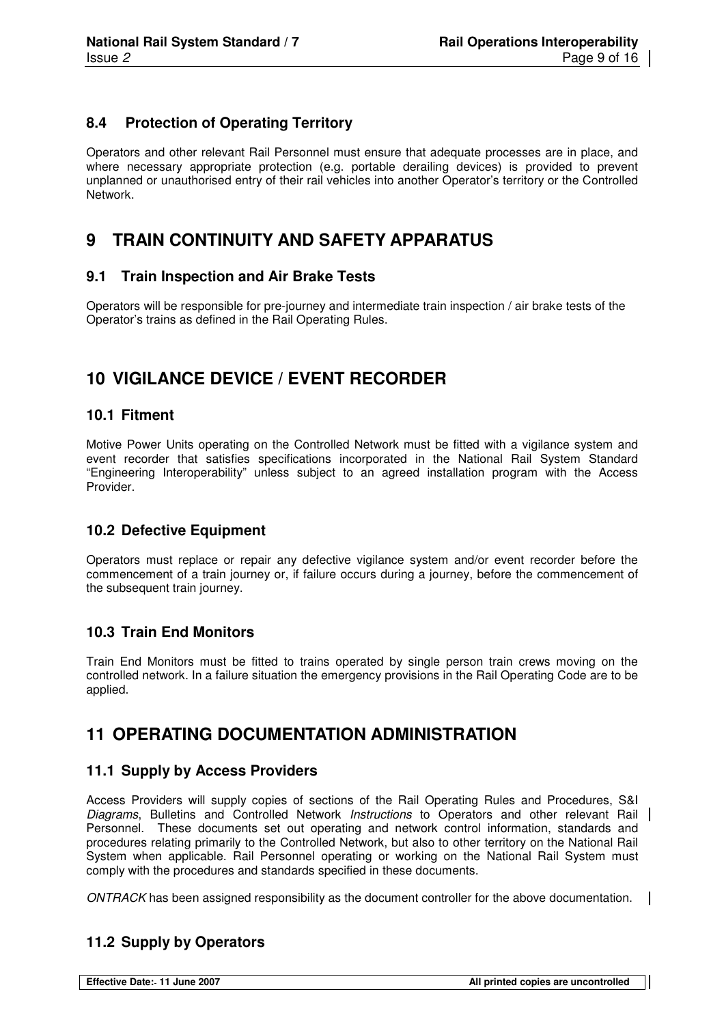#### **8.4 Protection of Operating Territory**

Operators and other relevant Rail Personnel must ensure that adequate processes are in place, and where necessary appropriate protection (e.g. portable derailing devices) is provided to prevent unplanned or unauthorised entry of their rail vehicles into another Operator's territory or the Controlled Network.

## **9 TRAIN CONTINUITY AND SAFETY APPARATUS**

#### **9.1 Train Inspection and Air Brake Tests**

Operators will be responsible for pre-journey and intermediate train inspection / air brake tests of the Operator's trains as defined in the Rail Operating Rules.

## **10 VIGILANCE DEVICE / EVENT RECORDER**

#### **10.1 Fitment**

Motive Power Units operating on the Controlled Network must be fitted with a vigilance system and event recorder that satisfies specifications incorporated in the National Rail System Standard "Engineering Interoperability" unless subject to an agreed installation program with the Access Provider.

#### **10.2 Defective Equipment**

Operators must replace or repair any defective vigilance system and/or event recorder before the commencement of a train journey or, if failure occurs during a journey, before the commencement of the subsequent train journey.

#### **10.3 Train End Monitors**

Train End Monitors must be fitted to trains operated by single person train crews moving on the controlled network. In a failure situation the emergency provisions in the Rail Operating Code are to be applied.

## **11 OPERATING DOCUMENTATION ADMINISTRATION**

#### **11.1 Supply by Access Providers**

Access Providers will supply copies of sections of the Rail Operating Rules and Procedures, S&I Diagrams, Bulletins and Controlled Network Instructions to Operators and other relevant Rail Personnel. These documents set out operating and network control information, standards and procedures relating primarily to the Controlled Network, but also to other territory on the National Rail System when applicable. Rail Personnel operating or working on the National Rail System must comply with the procedures and standards specified in these documents.

ONTRACK has been assigned responsibility as the document controller for the above documentation.

#### **11.2 Supply by Operators**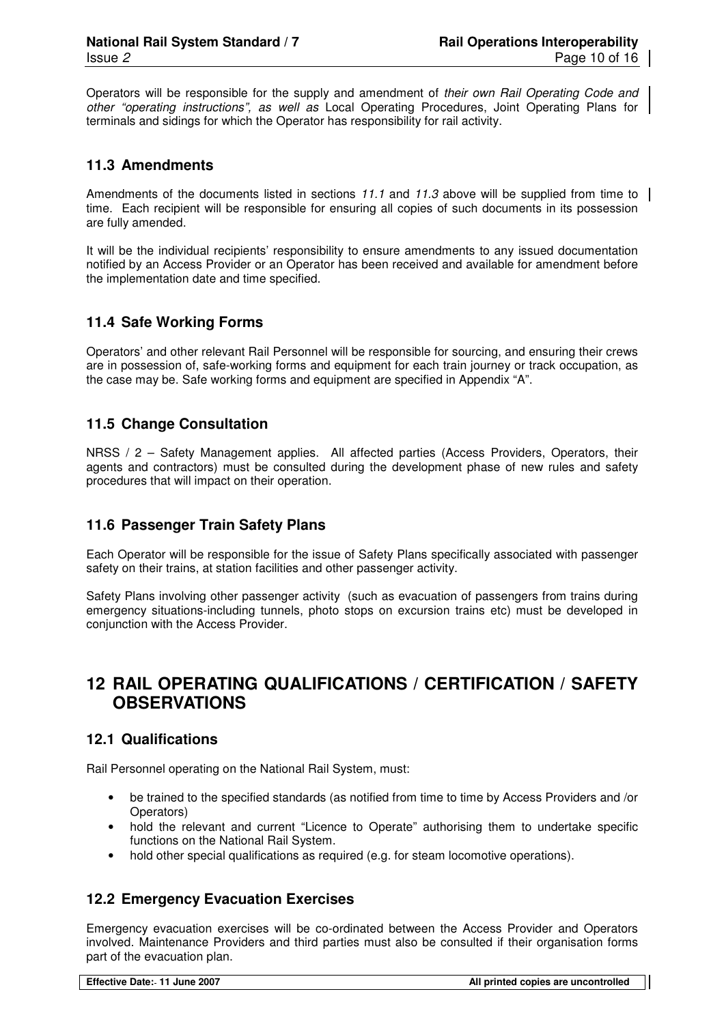Operators will be responsible for the supply and amendment of their own Rail Operating Code and other "operating instructions", as well as Local Operating Procedures, Joint Operating Plans for terminals and sidings for which the Operator has responsibility for rail activity.

#### **11.3 Amendments**

Amendments of the documents listed in sections 11.1 and 11.3 above will be supplied from time to time. Each recipient will be responsible for ensuring all copies of such documents in its possession are fully amended.

It will be the individual recipients' responsibility to ensure amendments to any issued documentation notified by an Access Provider or an Operator has been received and available for amendment before the implementation date and time specified.

#### **11.4 Safe Working Forms**

Operators' and other relevant Rail Personnel will be responsible for sourcing, and ensuring their crews are in possession of, safe-working forms and equipment for each train journey or track occupation, as the case may be. Safe working forms and equipment are specified in Appendix "A".

#### **11.5 Change Consultation**

NRSS / 2 – Safety Management applies. All affected parties (Access Providers, Operators, their agents and contractors) must be consulted during the development phase of new rules and safety procedures that will impact on their operation.

#### **11.6 Passenger Train Safety Plans**

Each Operator will be responsible for the issue of Safety Plans specifically associated with passenger safety on their trains, at station facilities and other passenger activity.

Safety Plans involving other passenger activity (such as evacuation of passengers from trains during emergency situations-including tunnels, photo stops on excursion trains etc) must be developed in conjunction with the Access Provider.

## **12 RAIL OPERATING QUALIFICATIONS / CERTIFICATION / SAFETY OBSERVATIONS**

#### **12.1 Qualifications**

Rail Personnel operating on the National Rail System, must:

- be trained to the specified standards (as notified from time to time by Access Providers and /or Operators)
- hold the relevant and current "Licence to Operate" authorising them to undertake specific functions on the National Rail System.
- hold other special qualifications as required (e.g. for steam locomotive operations).

#### **12.2 Emergency Evacuation Exercises**

Emergency evacuation exercises will be co-ordinated between the Access Provider and Operators involved. Maintenance Providers and third parties must also be consulted if their organisation forms part of the evacuation plan.

**Effective Date: 11 June 2007 All printed copies are uncontrolled**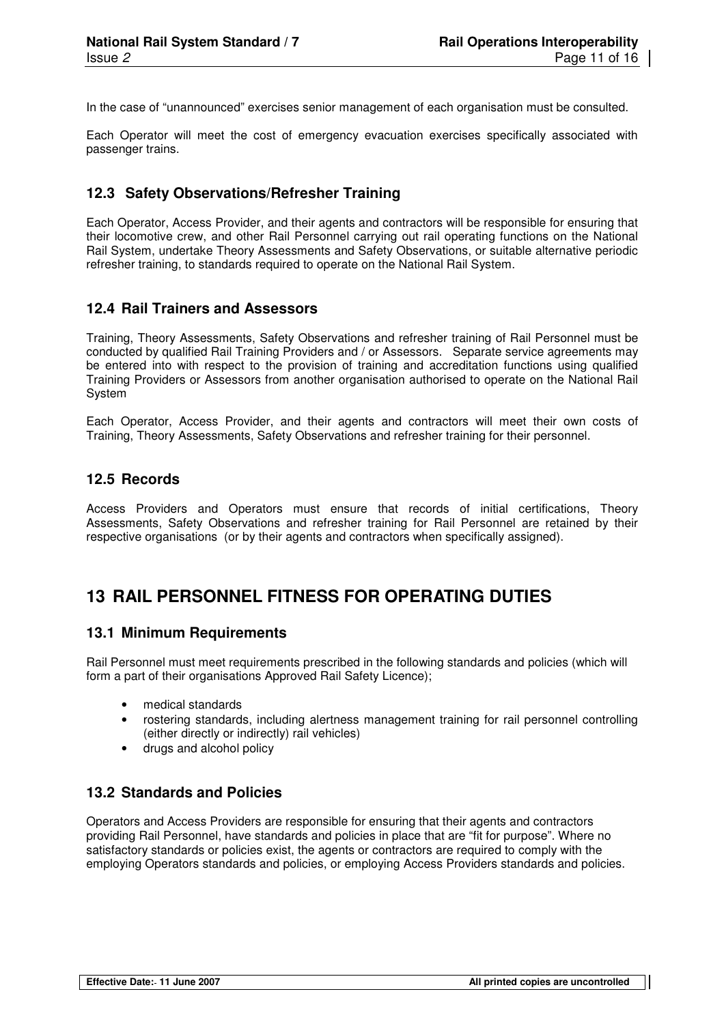In the case of "unannounced" exercises senior management of each organisation must be consulted.

Each Operator will meet the cost of emergency evacuation exercises specifically associated with passenger trains.

#### **12.3 Safety Observations/Refresher Training**

Each Operator, Access Provider, and their agents and contractors will be responsible for ensuring that their locomotive crew, and other Rail Personnel carrying out rail operating functions on the National Rail System, undertake Theory Assessments and Safety Observations, or suitable alternative periodic refresher training, to standards required to operate on the National Rail System.

#### **12.4 Rail Trainers and Assessors**

Training, Theory Assessments, Safety Observations and refresher training of Rail Personnel must be conducted by qualified Rail Training Providers and / or Assessors. Separate service agreements may be entered into with respect to the provision of training and accreditation functions using qualified Training Providers or Assessors from another organisation authorised to operate on the National Rail **System** 

Each Operator, Access Provider, and their agents and contractors will meet their own costs of Training, Theory Assessments, Safety Observations and refresher training for their personnel.

#### **12.5 Records**

Access Providers and Operators must ensure that records of initial certifications, Theory Assessments, Safety Observations and refresher training for Rail Personnel are retained by their respective organisations (or by their agents and contractors when specifically assigned).

## **13 RAIL PERSONNEL FITNESS FOR OPERATING DUTIES**

#### **13.1 Minimum Requirements**

Rail Personnel must meet requirements prescribed in the following standards and policies (which will form a part of their organisations Approved Rail Safety Licence);

- medical standards
- rostering standards, including alertness management training for rail personnel controlling (either directly or indirectly) rail vehicles)
- drugs and alcohol policy

#### **13.2 Standards and Policies**

Operators and Access Providers are responsible for ensuring that their agents and contractors providing Rail Personnel, have standards and policies in place that are "fit for purpose". Where no satisfactory standards or policies exist, the agents or contractors are required to comply with the employing Operators standards and policies, or employing Access Providers standards and policies.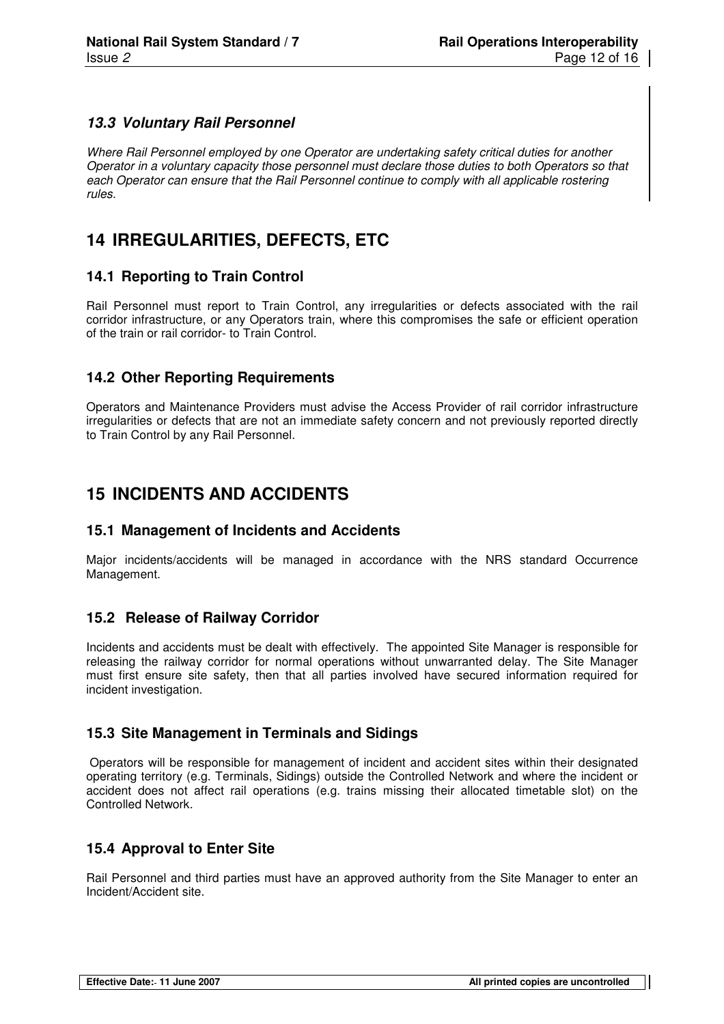#### **13.3 Voluntary Rail Personnel**

Where Rail Personnel employed by one Operator are undertaking safety critical duties for another Operator in a voluntary capacity those personnel must declare those duties to both Operators so that each Operator can ensure that the Rail Personnel continue to comply with all applicable rostering rules.

## **14 IRREGULARITIES, DEFECTS, ETC**

#### **14.1 Reporting to Train Control**

Rail Personnel must report to Train Control, any irregularities or defects associated with the rail corridor infrastructure, or any Operators train, where this compromises the safe or efficient operation of the train or rail corridor- to Train Control.

#### **14.2 Other Reporting Requirements**

Operators and Maintenance Providers must advise the Access Provider of rail corridor infrastructure irregularities or defects that are not an immediate safety concern and not previously reported directly to Train Control by any Rail Personnel.

## **15 INCIDENTS AND ACCIDENTS**

#### **15.1 Management of Incidents and Accidents**

Major incidents/accidents will be managed in accordance with the NRS standard Occurrence Management.

#### **15.2 Release of Railway Corridor**

Incidents and accidents must be dealt with effectively. The appointed Site Manager is responsible for releasing the railway corridor for normal operations without unwarranted delay. The Site Manager must first ensure site safety, then that all parties involved have secured information required for incident investigation.

#### **15.3 Site Management in Terminals and Sidings**

 Operators will be responsible for management of incident and accident sites within their designated operating territory (e.g. Terminals, Sidings) outside the Controlled Network and where the incident or accident does not affect rail operations (e.g. trains missing their allocated timetable slot) on the Controlled Network.

#### **15.4 Approval to Enter Site**

Rail Personnel and third parties must have an approved authority from the Site Manager to enter an Incident/Accident site.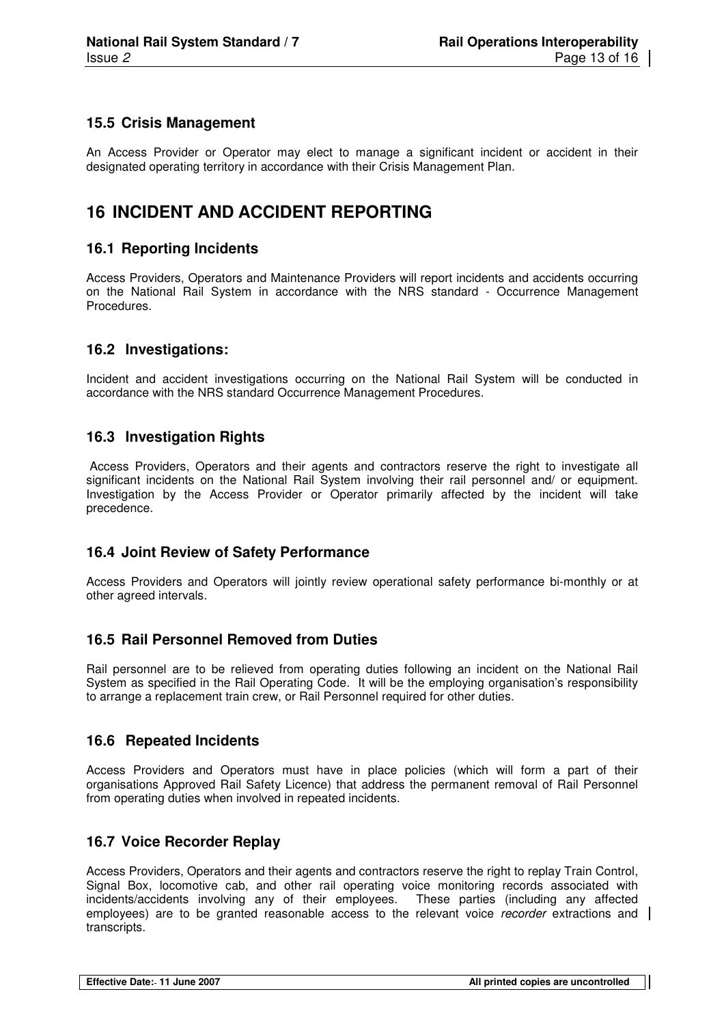#### **15.5 Crisis Management**

An Access Provider or Operator may elect to manage a significant incident or accident in their designated operating territory in accordance with their Crisis Management Plan.

## **16 INCIDENT AND ACCIDENT REPORTING**

#### **16.1 Reporting Incidents**

Access Providers, Operators and Maintenance Providers will report incidents and accidents occurring on the National Rail System in accordance with the NRS standard - Occurrence Management Procedures.

#### **16.2 Investigations:**

Incident and accident investigations occurring on the National Rail System will be conducted in accordance with the NRS standard Occurrence Management Procedures.

#### **16.3 Investigation Rights**

 Access Providers, Operators and their agents and contractors reserve the right to investigate all significant incidents on the National Rail System involving their rail personnel and/ or equipment. Investigation by the Access Provider or Operator primarily affected by the incident will take precedence.

#### **16.4 Joint Review of Safety Performance**

Access Providers and Operators will jointly review operational safety performance bi-monthly or at other agreed intervals.

#### **16.5 Rail Personnel Removed from Duties**

Rail personnel are to be relieved from operating duties following an incident on the National Rail System as specified in the Rail Operating Code. It will be the employing organisation's responsibility to arrange a replacement train crew, or Rail Personnel required for other duties.

#### **16.6 Repeated Incidents**

Access Providers and Operators must have in place policies (which will form a part of their organisations Approved Rail Safety Licence) that address the permanent removal of Rail Personnel from operating duties when involved in repeated incidents.

#### **16.7 Voice Recorder Replay**

Access Providers, Operators and their agents and contractors reserve the right to replay Train Control, Signal Box, locomotive cab, and other rail operating voice monitoring records associated with incidents/accidents involving any of their employees. These parties (including any affected employees) are to be granted reasonable access to the relevant voice recorder extractions and transcripts.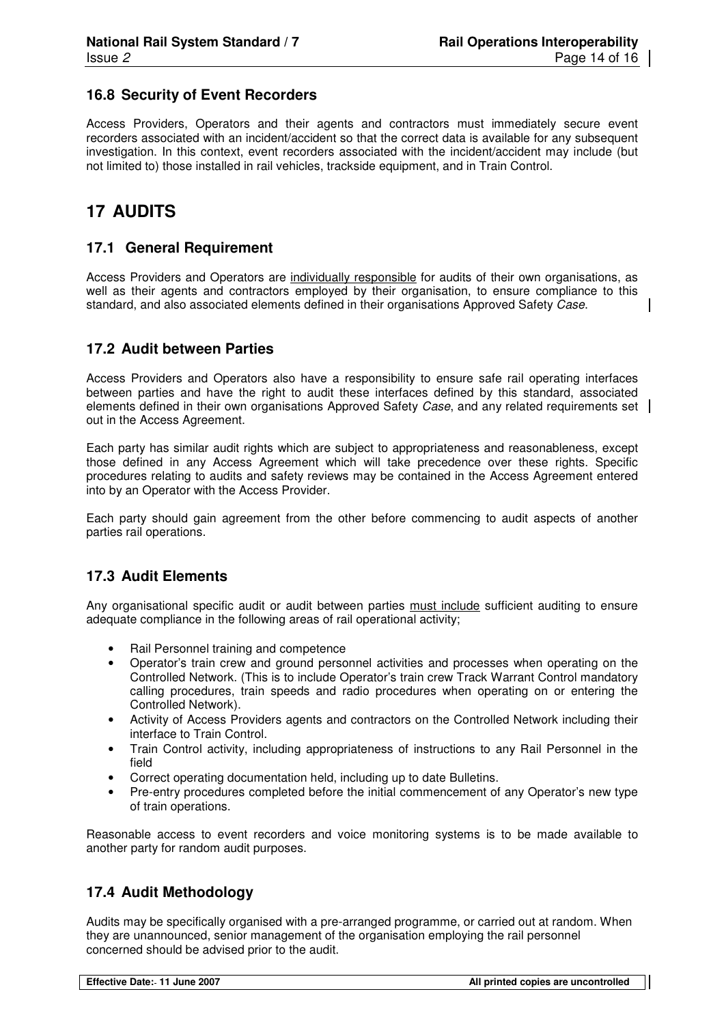#### **16.8 Security of Event Recorders**

Access Providers, Operators and their agents and contractors must immediately secure event recorders associated with an incident/accident so that the correct data is available for any subsequent investigation. In this context, event recorders associated with the incident/accident may include (but not limited to) those installed in rail vehicles, trackside equipment, and in Train Control.

## **17 AUDITS**

#### **17.1 General Requirement**

Access Providers and Operators are individually responsible for audits of their own organisations, as well as their agents and contractors employed by their organisation, to ensure compliance to this standard, and also associated elements defined in their organisations Approved Safety Case.

#### **17.2 Audit between Parties**

Access Providers and Operators also have a responsibility to ensure safe rail operating interfaces between parties and have the right to audit these interfaces defined by this standard, associated elements defined in their own organisations Approved Safety Case, and any related requirements set out in the Access Agreement.

Each party has similar audit rights which are subject to appropriateness and reasonableness, except those defined in any Access Agreement which will take precedence over these rights. Specific procedures relating to audits and safety reviews may be contained in the Access Agreement entered into by an Operator with the Access Provider.

Each party should gain agreement from the other before commencing to audit aspects of another parties rail operations.

#### **17.3 Audit Elements**

Any organisational specific audit or audit between parties must include sufficient auditing to ensure adequate compliance in the following areas of rail operational activity;

- Rail Personnel training and competence
- Operator's train crew and ground personnel activities and processes when operating on the Controlled Network. (This is to include Operator's train crew Track Warrant Control mandatory calling procedures, train speeds and radio procedures when operating on or entering the Controlled Network).
- Activity of Access Providers agents and contractors on the Controlled Network including their interface to Train Control.
- Train Control activity, including appropriateness of instructions to any Rail Personnel in the field
- Correct operating documentation held, including up to date Bulletins.
- Pre-entry procedures completed before the initial commencement of any Operator's new type of train operations.

Reasonable access to event recorders and voice monitoring systems is to be made available to another party for random audit purposes.

#### **17.4 Audit Methodology**

Audits may be specifically organised with a pre-arranged programme, or carried out at random. When they are unannounced, senior management of the organisation employing the rail personnel concerned should be advised prior to the audit.

| Effective Date: 11 June 2007 | All printed copies are uncontrolled |
|------------------------------|-------------------------------------|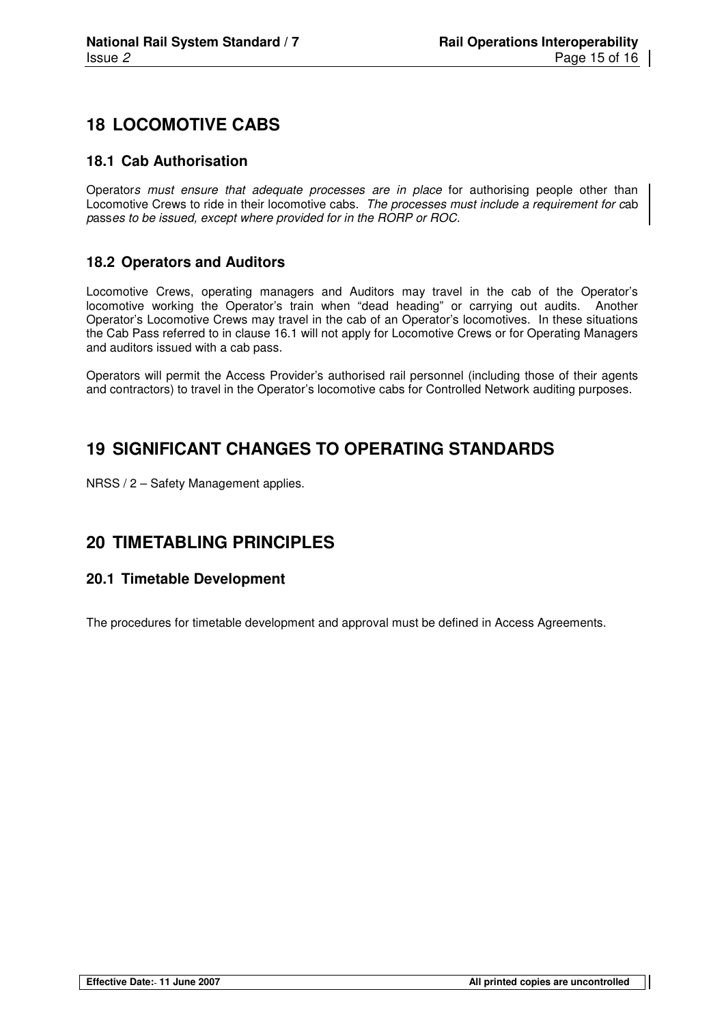## **18 LOCOMOTIVE CABS**

#### **18.1 Cab Authorisation**

Operators must ensure that adequate processes are in place for authorising people other than Locomotive Crews to ride in their locomotive cabs. The processes must include a requirement for cab passes to be issued, except where provided for in the RORP or ROC.

#### **18.2 Operators and Auditors**

Locomotive Crews, operating managers and Auditors may travel in the cab of the Operator's locomotive working the Operator's train when "dead heading" or carrying out audits. Another Operator's Locomotive Crews may travel in the cab of an Operator's locomotives. In these situations the Cab Pass referred to in clause 16.1 will not apply for Locomotive Crews or for Operating Managers and auditors issued with a cab pass.

Operators will permit the Access Provider's authorised rail personnel (including those of their agents and contractors) to travel in the Operator's locomotive cabs for Controlled Network auditing purposes.

## **19 SIGNIFICANT CHANGES TO OPERATING STANDARDS**

NRSS / 2 – Safety Management applies.

## **20 TIMETABLING PRINCIPLES**

#### **20.1 Timetable Development**

The procedures for timetable development and approval must be defined in Access Agreements.